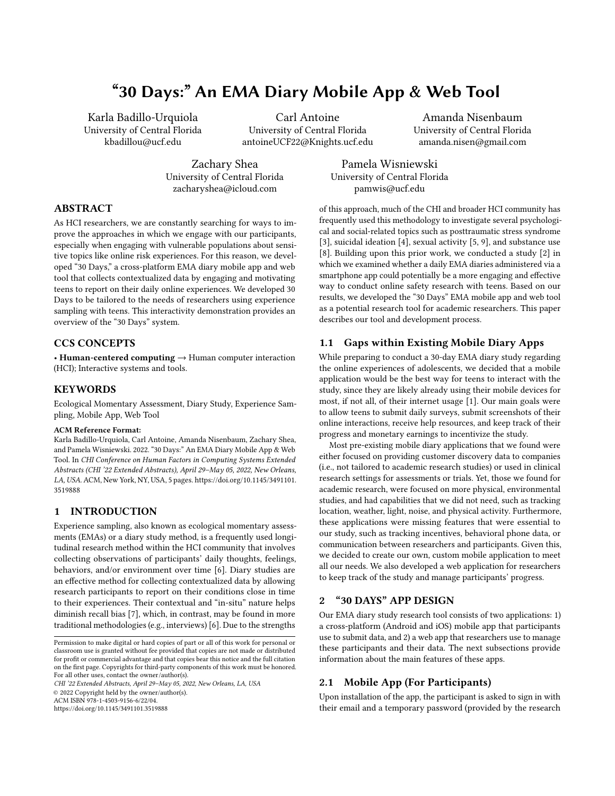# "30 Days:" An EMA Diary Mobile App & Web Tool

Karla Badillo-Urquiola University of Central Florida kbadillou@ucf.edu

Carl Antoine University of Central Florida antoineUCF22@Knights.ucf.edu

Amanda Nisenbaum University of Central Florida amanda.nisen@gmail.com

Zachary Shea University of Central Florida zacharyshea@icloud.com

Pamela Wisniewski University of Central Florida pamwis@ucf.edu

## ABSTRACT

As HCI researchers, we are constantly searching for ways to improve the approaches in which we engage with our participants, especially when engaging with vulnerable populations about sensitive topics like online risk experiences. For this reason, we developed "30 Days," a cross-platform EMA diary mobile app and web tool that collects contextualized data by engaging and motivating teens to report on their daily online experiences. We developed 30 Days to be tailored to the needs of researchers using experience sampling with teens. This interactivity demonstration provides an overview of the "30 Days" system.

## CCS CONCEPTS

• Human-centered computing → Human computer interaction (HCI); Interactive systems and tools.

#### **KEYWORDS**

Ecological Momentary Assessment, Diary Study, Experience Sampling, Mobile App, Web Tool

#### ACM Reference Format:

Karla Badillo-Urquiola, Carl Antoine, Amanda Nisenbaum, Zachary Shea, and Pamela Wisniewski. 2022. "30 Days:" An EMA Diary Mobile App & Web Tool. In CHI Conference on Human Factors in Computing Systems Extended Abstracts (CHI '22 Extended Abstracts), April 29–May 05, 2022, New Orleans, LA, USA. ACM, New York, NY, USA, [5](#page-4-0) pages. [https://doi.org/10.1145/3491101.](https://doi.org/10.1145/3491101.3519888) [3519888](https://doi.org/10.1145/3491101.3519888)

#### 1 INTRODUCTION

Experience sampling, also known as ecological momentary assessments (EMAs) or a diary study method, is a frequently used longitudinal research method within the HCI community that involves collecting observations of participants' daily thoughts, feelings, behaviors, and/or environment over time [\[6\]](#page-4-1). Diary studies are an effective method for collecting contextualized data by allowing research participants to report on their conditions close in time to their experiences. Their contextual and "in-situ" nature helps diminish recall bias [\[7\]](#page-4-2), which, in contrast, may be found in more traditional methodologies (e.g., interviews) [\[6\]](#page-4-1). Due to the strengths

CHI '22 Extended Abstracts, April 29–May 05, 2022, New Orleans, LA, USA

© 2022 Copyright held by the owner/author(s).

ACM ISBN 978-1-4503-9156-6/22/04.

<https://doi.org/10.1145/3491101.3519888>

of this approach, much of the CHI and broader HCI community has frequently used this methodology to investigate several psychological and social-related topics such as posttraumatic stress syndrome [\[3\]](#page-4-3), suicidal ideation [\[4\]](#page-4-4), sexual activity [\[5,](#page-4-5) [9\]](#page-4-6), and substance use [\[8\]](#page-4-7). Building upon this prior work, we conducted a study [\[2\]](#page-4-8) in which we examined whether a daily EMA diaries administered via a smartphone app could potentially be a more engaging and effective way to conduct online safety research with teens. Based on our results, we developed the "30 Days" EMA mobile app and web tool as a potential research tool for academic researchers. This paper describes our tool and development process.

## 1.1 Gaps within Existing Mobile Diary Apps

While preparing to conduct a 30-day EMA diary study regarding the online experiences of adolescents, we decided that a mobile application would be the best way for teens to interact with the study, since they are likely already using their mobile devices for most, if not all, of their internet usage [\[1\]](#page-4-9). Our main goals were to allow teens to submit daily surveys, submit screenshots of their online interactions, receive help resources, and keep track of their progress and monetary earnings to incentivize the study.

Most pre-existing mobile diary applications that we found were either focused on providing customer discovery data to companies (i.e., not tailored to academic research studies) or used in clinical research settings for assessments or trials. Yet, those we found for academic research, were focused on more physical, environmental studies, and had capabilities that we did not need, such as tracking location, weather, light, noise, and physical activity. Furthermore, these applications were missing features that were essential to our study, such as tracking incentives, behavioral phone data, or communication between researchers and participants. Given this, we decided to create our own, custom mobile application to meet all our needs. We also developed a web application for researchers to keep track of the study and manage participants' progress.

## 2 "30 DAYS" APP DESIGN

Our EMA diary study research tool consists of two applications: 1) a cross-platform (Android and iOS) mobile app that participants use to submit data, and 2) a web app that researchers use to manage these participants and their data. The next subsections provide information about the main features of these apps.

#### 2.1 Mobile App (For Participants)

Upon installation of the app, the participant is asked to sign in with their email and a temporary password (provided by the research

Permission to make digital or hard copies of part or all of this work for personal or classroom use is granted without fee provided that copies are not made or distributed for profit or commercial advantage and that copies bear this notice and the full citation on the first page. Copyrights for third-party components of this work must be honored. For all other uses, contact the owner/author(s).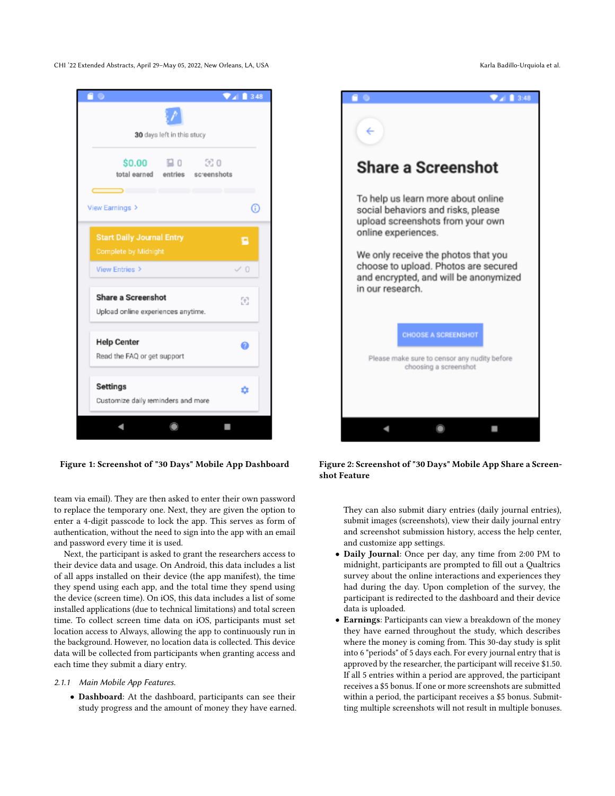CHI '22 Extended Abstracts, April 29-May 05, 2022, New Orleans, LA, USA Karla Badillo-Urquiola et al.



Figure 1: Screenshot of "30 Days" Mobile App Dashboard

team via email). They are then asked to enter their own password to replace the temporary one. Next, they are given the option to enter a 4-digit passcode to lock the app. This serves as form of authentication, without the need to sign into the app with an email and password every time it is used.

Next, the participant is asked to grant the researchers access to their device data and usage. On Android, this data includes a list of all apps installed on their device (the app manifest), the time they spend using each app, and the total time they spend using the device (screen time). On iOS, this data includes a list of some installed applications (due to technical limitations) and total screen time. To collect screen time data on iOS, participants must set location access to Always, allowing the app to continuously run in the background. However, no location data is collected. This device data will be collected from participants when granting access and each time they submit a diary entry.

#### 2.1.1 Main Mobile App Features.

• Dashboard: At the dashboard, participants can see their study progress and the amount of money they have earned.



Figure 2: Screenshot of "30 Days" Mobile App Share a Screenshot Feature

They can also submit diary entries (daily journal entries), submit images (screenshots), view their daily journal entry and screenshot submission history, access the help center, and customize app settings.

- Daily Journal: Once per day, any time from 2:00 PM to midnight, participants are prompted to fill out a Qualtrics survey about the online interactions and experiences they had during the day. Upon completion of the survey, the participant is redirected to the dashboard and their device data is uploaded.
- Earnings: Participants can view a breakdown of the money they have earned throughout the study, which describes where the money is coming from. This 30-day study is split into 6 "periods" of 5 days each. For every journal entry that is approved by the researcher, the participant will receive \$1.50. If all 5 entries within a period are approved, the participant receives a \$5 bonus. If one or more screenshots are submitted within a period, the participant receives a \$5 bonus. Submitting multiple screenshots will not result in multiple bonuses.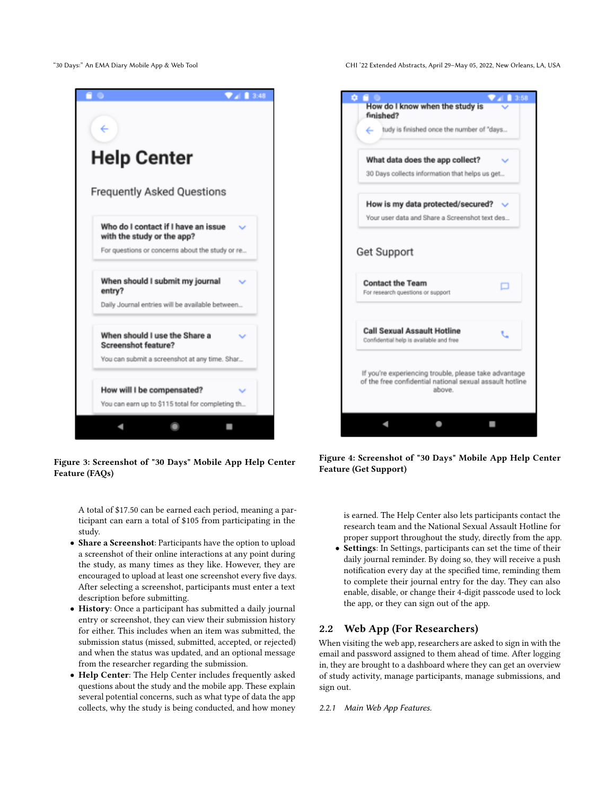"30 Days:" An EMA Diary Mobile App & Web Tool CHI '22 Extended Abstracts, April 29–May 05, 2022, New Orleans, LA, USA



Figure 3: Screenshot of "30 Days" Mobile App Help Center Feature (FAQs)

A total of \$17.50 can be earned each period, meaning a participant can earn a total of \$105 from participating in the study.

- Share a Screenshot: Participants have the option to upload a screenshot of their online interactions at any point during the study, as many times as they like. However, they are encouraged to upload at least one screenshot every five days. After selecting a screenshot, participants must enter a text description before submitting.
- History: Once a participant has submitted a daily journal entry or screenshot, they can view their submission history for either. This includes when an item was submitted, the submission status (missed, submitted, accepted, or rejected) and when the status was updated, and an optional message from the researcher regarding the submission.
- Help Center: The Help Center includes frequently asked questions about the study and the mobile app. These explain several potential concerns, such as what type of data the app collects, why the study is being conducted, and how money



Figure 4: Screenshot of "30 Days" Mobile App Help Center Feature (Get Support)

is earned. The Help Center also lets participants contact the research team and the National Sexual Assault Hotline for proper support throughout the study, directly from the app.

• Settings: In Settings, participants can set the time of their daily journal reminder. By doing so, they will receive a push notification every day at the specified time, reminding them to complete their journal entry for the day. They can also enable, disable, or change their 4-digit passcode used to lock the app, or they can sign out of the app.

## 2.2 Web App (For Researchers)

When visiting the web app, researchers are asked to sign in with the email and password assigned to them ahead of time. After logging in, they are brought to a dashboard where they can get an overview of study activity, manage participants, manage submissions, and sign out.

2.2.1 Main Web App Features.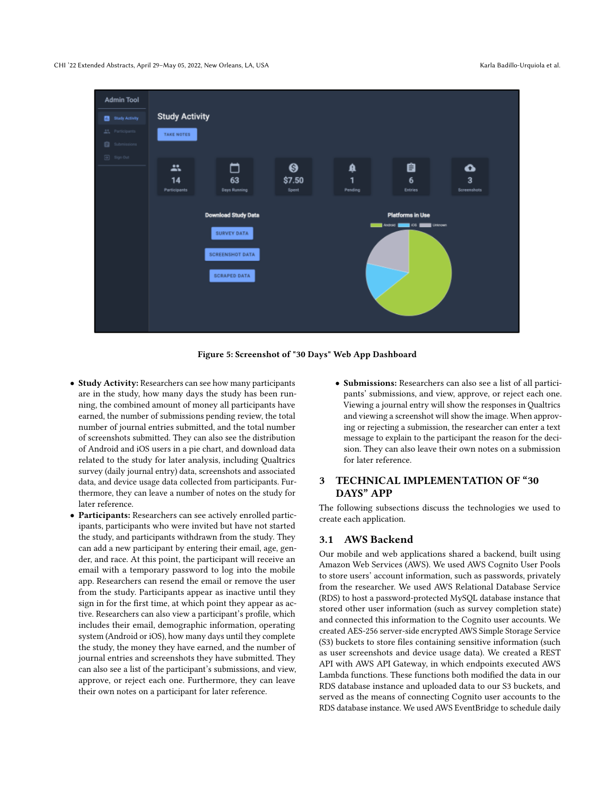#### CHI '22 Extended Abstracts, April 29-May 05, 2022, New Orleans, LA, USA Karla Badillo-Urquiola et al.



Figure 5: Screenshot of "30 Days" Web App Dashboard

- Study Activity: Researchers can see how many participants are in the study, how many days the study has been running, the combined amount of money all participants have earned, the number of submissions pending review, the total number of journal entries submitted, and the total number of screenshots submitted. They can also see the distribution of Android and iOS users in a pie chart, and download data related to the study for later analysis, including Qualtrics survey (daily journal entry) data, screenshots and associated data, and device usage data collected from participants. Furthermore, they can leave a number of notes on the study for later reference.
- Participants: Researchers can see actively enrolled participants, participants who were invited but have not started the study, and participants withdrawn from the study. They can add a new participant by entering their email, age, gender, and race. At this point, the participant will receive an email with a temporary password to log into the mobile app. Researchers can resend the email or remove the user from the study. Participants appear as inactive until they sign in for the first time, at which point they appear as active. Researchers can also view a participant's profile, which includes their email, demographic information, operating system (Android or iOS), how many days until they complete the study, the money they have earned, and the number of journal entries and screenshots they have submitted. They can also see a list of the participant's submissions, and view, approve, or reject each one. Furthermore, they can leave their own notes on a participant for later reference.
- Submissions: Researchers can also see a list of all participants' submissions, and view, approve, or reject each one. Viewing a journal entry will show the responses in Qualtrics and viewing a screenshot will show the image. When approving or rejecting a submission, the researcher can enter a text message to explain to the participant the reason for the decision. They can also leave their own notes on a submission for later reference.

## 3 TECHNICAL IMPLEMENTATION OF "30 DAYS" APP

The following subsections discuss the technologies we used to create each application.

#### 3.1 AWS Backend

Our mobile and web applications shared a backend, built using Amazon Web Services (AWS). We used AWS Cognito User Pools to store users' account information, such as passwords, privately from the researcher. We used AWS Relational Database Service (RDS) to host a password-protected MySQL database instance that stored other user information (such as survey completion state) and connected this information to the Cognito user accounts. We created AES-256 server-side encrypted AWS Simple Storage Service (S3) buckets to store files containing sensitive information (such as user screenshots and device usage data). We created a REST API with AWS API Gateway, in which endpoints executed AWS Lambda functions. These functions both modified the data in our RDS database instance and uploaded data to our S3 buckets, and served as the means of connecting Cognito user accounts to the RDS database instance. We used AWS EventBridge to schedule daily